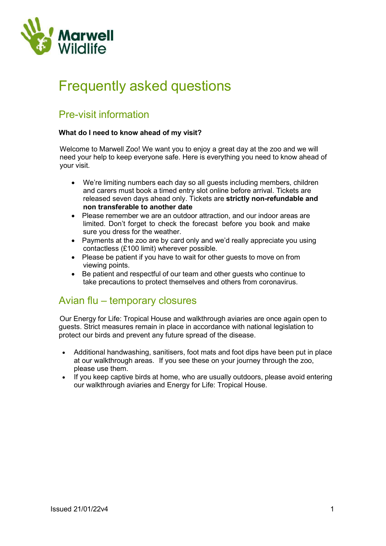

# Frequently asked questions

# Pre-visit information

#### What do I need to know ahead of my visit?

Welcome to Marwell Zoo! We want you to enjoy a great day at the zoo and we will need your help to keep everyone safe. Here is everything you need to know ahead of your visit.

- We're limiting numbers each day so all guests including members, children and carers must book a timed entry slot online before arrival. Tickets are released seven days ahead only. Tickets are strictly non-refundable and non transferable to another date
- Please remember we are an outdoor attraction, and our indoor areas are limited. Don't forget to check the forecast before you book and make sure you dress for the weather.
- Payments at the zoo are by card only and we'd really appreciate you using contactless (£100 limit) wherever possible.
- Please be patient if you have to wait for other quests to move on from viewing points.
- Be patient and respectful of our team and other guests who continue to take precautions to protect themselves and others from coronavirus.

# Avian flu – temporary closures

Our Energy for Life: Tropical House and walkthrough aviaries are once again open to guests. Strict measures remain in place in accordance with national legislation to protect our birds and prevent any future spread of the disease.

- Additional handwashing, sanitisers, foot mats and foot dips have been put in place at our walkthrough areas. If you see these on your journey through the zoo, please use them.
- If you keep captive birds at home, who are usually outdoors, please avoid entering our walkthrough aviaries and Energy for Life: Tropical House.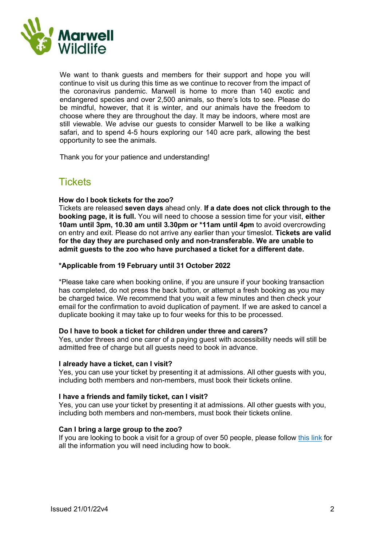

We want to thank quests and members for their support and hope you will continue to visit us during this time as we continue to recover from the impact of the coronavirus pandemic. Marwell is home to more than 140 exotic and endangered species and over 2,500 animals, so there's lots to see. Please do be mindful, however, that it is winter, and our animals have the freedom to choose where they are throughout the day. It may be indoors, where most are still viewable. We advise our guests to consider Marwell to be like a walking safari, and to spend 4-5 hours exploring our 140 acre park, allowing the best opportunity to see the animals.

Thank you for your patience and understanding!

# **Tickets**

#### How do I book tickets for the zoo?

Tickets are released seven days ahead only. If a date does not click through to the booking page, it is full. You will need to choose a session time for your visit, either 10am until 3pm, 10.30 am until 3.30pm or \*11am until 4pm to avoid overcrowding on entry and exit. Please do not arrive any earlier than your timeslot. Tickets are valid for the day they are purchased only and non-transferable. We are unable to admit guests to the zoo who have purchased a ticket for a different date.

#### \*Applicable from 19 February until 31 October 2022

\*Please take care when booking online, if you are unsure if your booking transaction has completed, do not press the back button, or attempt a fresh booking as you may be charged twice. We recommend that you wait a few minutes and then check your email for the confirmation to avoid duplication of payment. If we are asked to cancel a duplicate booking it may take up to four weeks for this to be processed.

#### Do I have to book a ticket for children under three and carers?

Yes, under threes and one carer of a paying guest with accessibility needs will still be admitted free of charge but all guests need to book in advance.

#### I already have a ticket, can I visit?

Yes, you can use your ticket by presenting it at admissions. All other guests with you, including both members and non-members, must book their tickets online.

#### I have a friends and family ticket, can I visit?

Yes, you can use your ticket by presenting it at admissions. All other guests with you, including both members and non-members, must book their tickets online.

#### Can I bring a large group to the zoo?

If you are looking to book a visit for a group of over 50 people, please follow this link for all the information you will need including how to book.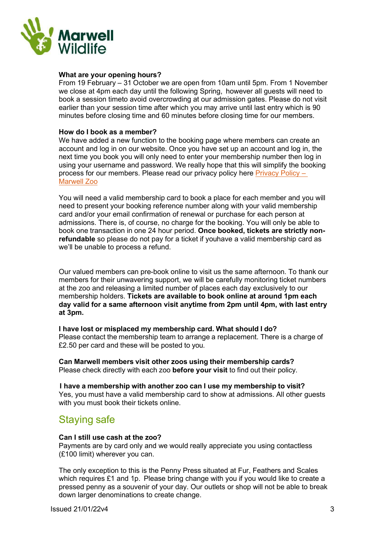

#### What are your opening hours?

From 19 February – 31 October we are open from 10am until 5pm. From 1 November we close at 4pm each day until the following Spring, however all guests will need to book a session timeto avoid overcrowding at our admission gates. Please do not visit earlier than your session time after which you may arrive until last entry which is 90 minutes before closing time and 60 minutes before closing time for our members.

#### How do I book as a member?

We have added a new function to the booking page where members can create an account and log in on our website. Once you have set up an account and log in, the next time you book you will only need to enter your membership number then log in using your username and password. We really hope that this will simplify the booking process for our members. Please read our privacy policy here Privacy Policy – Marwell Zoo

You will need a valid membership card to book a place for each member and you will need to present your booking reference number along with your valid membership card and/or your email confirmation of renewal or purchase for each person at admissions. There is, of course, no charge for the booking. You will only be able to book one transaction in one 24 hour period. Once booked, tickets are strictly nonrefundable so please do not pay for a ticket if youhave a valid membership card as we'll be unable to process a refund.

Our valued members can pre-book online to visit us the same afternoon. To thank our members for their unwavering support, we will be carefully monitoring ticket numbers at the zoo and releasing a limited number of places each day exclusively to our membership holders. Tickets are available to book online at around 1pm each day valid for a same afternoon visit anytime from 2pm until 4pm, with last entry at 3pm.

I have lost or misplaced my membership card. What should I do? Please contact the membership team to arrange a replacement. There is a charge of £2.50 per card and these will be posted to you.

Can Marwell members visit other zoos using their membership cards? Please check directly with each zoo before your visit to find out their policy.

I have a membership with another zoo can I use my membership to visit? Yes, you must have a valid membership card to show at admissions. All other guests with you must book their tickets online.

# Staying safe

#### Can I still use cash at the zoo?

Payments are by card only and we would really appreciate you using contactless (£100 limit) wherever you can.

The only exception to this is the Penny Press situated at Fur, Feathers and Scales which requires £1 and 1p. Please bring change with you if you would like to create a pressed penny as a souvenir of your day. Our outlets or shop will not be able to break down larger denominations to create change.